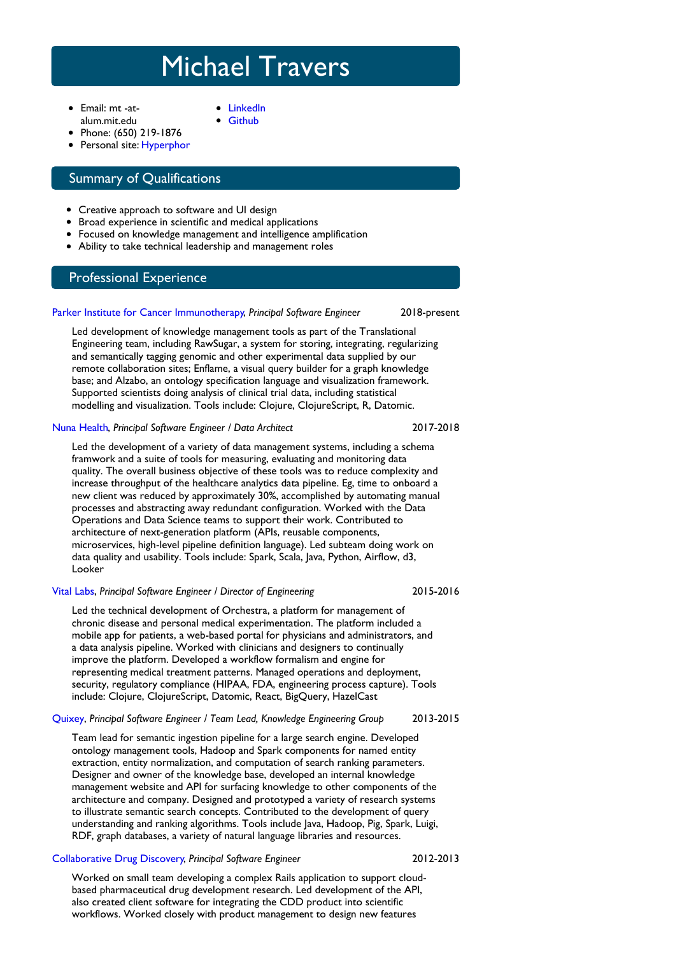# Michael Travers

- Email: mt -atalum.mit.edu
- [LinkedIn](http://www.linkedin.com/pub/mike-travers/0/333/99) **[Github](http://github.com/mtravers)**
- 
- Phone: (650) 219-1876 • Personal site: [Hyperphor](http://hyperphor.com)

## Summary of Qualifications

- Creative approach to software and UI design
- Broad experience in scientific and medical applications
- Focused on knowledge management and intelligence amplification
- Ability to take technical leadership and management roles

## Professional Experience

#### Parker Institute for Cancer [Immunotherapy](http://parkerici.org), *Principal Software Engineer*

Led development of knowledge management tools as part of the Translational Engineering team, including RawSugar, a system for storing, integrating, regularizing and semantically tagging genomic and other experimental data supplied by our remote collaboration sites; Enflame, a visual query builder for a graph knowledge base; and Alzabo, an ontology specification language and visualization framework. Supported scientists doing analysis of clinical trial data, including statistical modelling and visualization. Tools include: Clojure, ClojureScript, R, Datomic.

#### Nuna [Health](http://nuna.com), *Principal Software Engineer / Data Architect*

# 2017-2018

2015-2016

2018-present

Led the development of a variety of data management systems, including a schema framwork and a suite of tools for measuring, evaluating and monitoring data quality. The overall business objective of these tools was to reduce complexity and increase throughput of the healthcare analytics data pipeline. Eg, time to onboard a new client was reduced by approximately 30%, accomplished by automating manual processes and abstracting away redundant configuration. Worked with the Data Operations and Data Science teams to support their work. Contributed to architecture of next-generation platform (APIs, reusable components, microservices, high-level pipeline definition language). Led subteam doing work on data quality and usability. Tools include: Spark, Scala, Java, Python, Airflow, d3, Looker

#### [Vital](http://vitallabs.co) Labs, *Principal Software Engineer / Director of Engineering*

Led the technical development of Orchestra, a platform for management of chronic disease and personal medical experimentation. The platform included a mobile app for patients, a web-based portal for physicians and administrators, and a data analysis pipeline. Worked with clinicians and designers to continually improve the platform. Developed a workflow formalism and engine for representing medical treatment patterns. Managed operations and deployment, security, regulatory compliance (HIPAA, FDA, engineering process capture). Tools include: Clojure, ClojureScript, Datomic, React, BigQuery, HazelCast

#### 2013-2015 [Quixey](https://web.archive.org/web/20150311102912/https://www.quixey.com/), *Principal Software Engineer / Team Lead, Knowledge Engineering Group*

Team lead for semantic ingestion pipeline for a large search engine. Developed ontology management tools, Hadoop and Spark components for named entity extraction, entity normalization, and computation of search ranking parameters. Designer and owner of the knowledge base, developed an internal knowledge management website and API for surfacing knowledge to other components of the architecture and company. Designed and prototyped a variety of research systems to illustrate semantic search concepts. Contributed to the development of query understanding and ranking algorithms. Tools include Java, Hadoop, Pig, Spark, Luigi, RDF, graph databases, a variety of natural language libraries and resources.

#### [Collaborative](http://www.collaborativedrug.com/) Drug Discovery, *Principal Software Engineer*

#### 2012-2013

Worked on small team developing a complex Rails application to support cloudbased pharmaceutical drug development research. Led development of the API, also created client software for integrating the CDD product into scientific workflows. Worked closely with product management to design new features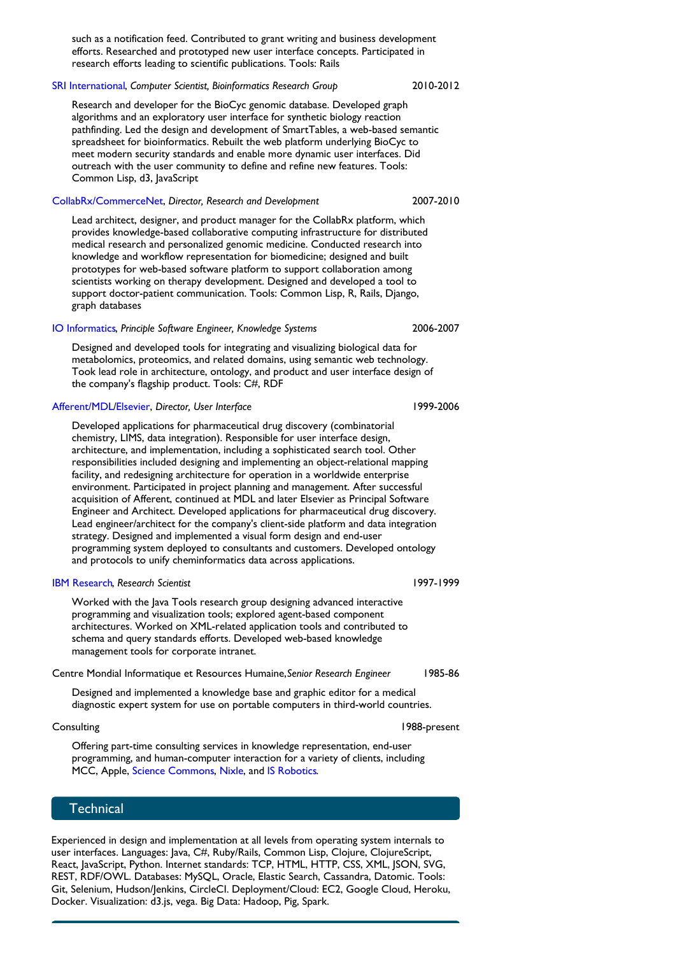such as a notification feed. Contributed to grant writing and business development efforts. Researched and prototyped new user interface concepts. Participated in research efforts leading to scientific publications. Tools: Rails

#### SRI [International](http://www.sri.com/), *Computer Scientist, Bioinformatics Research Group*

#### 2010-2012

2007-2010

Research and developer for the BioCyc genomic database. Developed graph algorithms and an exploratory user interface for synthetic biology reaction pathfinding. Led the design and development of SmartTables, a web-based semantic spreadsheet for bioinformatics. Rebuilt the web platform underlying BioCyc to meet modern security standards and enable more dynamic user interfaces. Did outreach with the user community to define and refine new features. Tools: Common Lisp, d3, JavaScript

[CollabRx/CommerceNet](http://collabrx.com), *Director, Research and Development*

Lead architect, designer, and product manager for the CollabRx platform, which provides knowledge-based collaborative computing infrastructure for distributed medical research and personalized genomic medicine. Conducted research into knowledge and workflow representation for biomedicine; designed and built prototypes for web-based software platform to support collaboration among scientists working on therapy development. Designed and developed a tool to support doctor-patient communication. Tools: Common Lisp, R, Rails, Django, graph databases

#### IO [Informatics](http://www.io-informatics.com/), *Principle Software Engineer, Knowledge Systems*

Designed and developed tools for integrating and visualizing biological data for metabolomics, proteomics, and related domains, using semantic web technology. Took lead role in architecture, ontology, and product and user interface design of the company's flagship product. Tools: C#, RDF

#### [Afferent/MDL](http://www.franz.com/success/customer_apps/bioinformatics/mdl_story.lhtml)[/Elsevier](http://elsevier.com), *Director, User Interface*

Developed applications for pharmaceutical drug discovery (combinatorial chemistry, LIMS, data integration). Responsible for user interface design, architecture, and implementation, including a sophisticated search tool. Other responsibilities included designing and implementing an object-relational mapping facility, and redesigning architecture for operation in a worldwide enterprise environment. Participated in project planning and management. After successful acquisition of Afferent, continued at MDL and later Elsevier as Principal Software Engineer and Architect. Developed applications for pharmaceutical drug discovery. Lead engineer/architect for the company's client-side platform and data integration strategy. Designed and implemented a visual form design and end-user programming system deployed to consultants and customers. Developed ontology and protocols to unify cheminformatics data across applications.

#### IBM [Research](http://www.research.ibm.com), *Research Scientist*

Worked with the Java Tools research group designing advanced interactive programming and visualization tools; explored agent-based component architectures. Worked on XML-related application tools and contributed to schema and query standards efforts. Developed web-based knowledge management tools for corporate intranet.

Centre Mondial Informatique et Resources Humaine,*Senior Research Engineer*

Designed and implemented a knowledge base and graphic editor for a medical diagnostic expert system for use on portable computers in third-world countries.

#### **Consulting**

Offering part-time consulting services in knowledge representation, end-user programming, and human-computer interaction for a variety of clients, including MCC, Apple, Science [Commons](http://sciencecommons.org/), [Nixle](http://www.nixle.com/), and IS [Robotics](http://www.irobot.com/).

#### **Technical**

Experienced in design and implementation at all levels from operating system internals to user interfaces. Languages: Java, C#, Ruby/Rails, Common Lisp, Clojure, ClojureScript, React, JavaScript, Python. Internet standards: TCP, HTML, HTTP, CSS, XML, JSON, SVG, REST, RDF/OWL. Databases: MySQL, Oracle, Elastic Search, Cassandra, Datomic. Tools: Git, Selenium, Hudson/Jenkins, CircleCI. Deployment/Cloud: EC2, Google Cloud, Heroku, Docker. Visualization: d3.js, vega. Big Data: Hadoop, Pig, Spark.

1999-2006

2006-2007

1985-86

1997-1999

1988-present